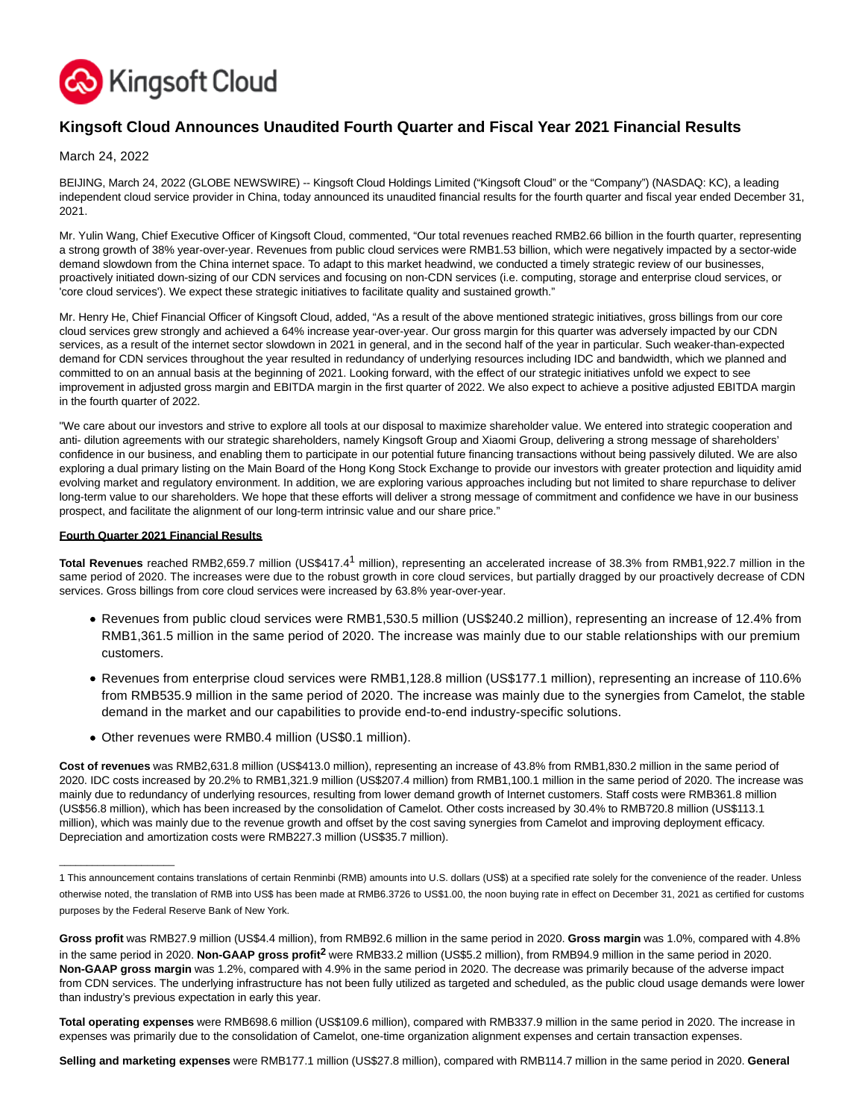

# **Kingsoft Cloud Announces Unaudited Fourth Quarter and Fiscal Year 2021 Financial Results**

March 24, 2022

BEIJING, March 24, 2022 (GLOBE NEWSWIRE) -- Kingsoft Cloud Holdings Limited ("Kingsoft Cloud" or the "Company") (NASDAQ: KC), a leading independent cloud service provider in China, today announced its unaudited financial results for the fourth quarter and fiscal year ended December 31, 2021.

Mr. Yulin Wang, Chief Executive Officer of Kingsoft Cloud, commented, "Our total revenues reached RMB2.66 billion in the fourth quarter, representing a strong growth of 38% year-over-year. Revenues from public cloud services were RMB1.53 billion, which were negatively impacted by a sector-wide demand slowdown from the China internet space. To adapt to this market headwind, we conducted a timely strategic review of our businesses, proactively initiated down-sizing of our CDN services and focusing on non-CDN services (i.e. computing, storage and enterprise cloud services, or 'core cloud services'). We expect these strategic initiatives to facilitate quality and sustained growth."

Mr. Henry He, Chief Financial Officer of Kingsoft Cloud, added, "As a result of the above mentioned strategic initiatives, gross billings from our core cloud services grew strongly and achieved a 64% increase year-over-year. Our gross margin for this quarter was adversely impacted by our CDN services, as a result of the internet sector slowdown in 2021 in general, and in the second half of the year in particular. Such weaker-than-expected demand for CDN services throughout the year resulted in redundancy of underlying resources including IDC and bandwidth, which we planned and committed to on an annual basis at the beginning of 2021. Looking forward, with the effect of our strategic initiatives unfold we expect to see improvement in adjusted gross margin and EBITDA margin in the first quarter of 2022. We also expect to achieve a positive adjusted EBITDA margin in the fourth quarter of 2022.

"We care about our investors and strive to explore all tools at our disposal to maximize shareholder value. We entered into strategic cooperation and anti- dilution agreements with our strategic shareholders, namely Kingsoft Group and Xiaomi Group, delivering a strong message of shareholders' confidence in our business, and enabling them to participate in our potential future financing transactions without being passively diluted. We are also exploring a dual primary listing on the Main Board of the Hong Kong Stock Exchange to provide our investors with greater protection and liquidity amid evolving market and regulatory environment. In addition, we are exploring various approaches including but not limited to share repurchase to deliver long-term value to our shareholders. We hope that these efforts will deliver a strong message of commitment and confidence we have in our business prospect, and facilitate the alignment of our long-term intrinsic value and our share price."

#### **Fourth Quarter 2021 Financial Results**

 $\_$ 

**Total Revenues** reached RMB2,659.7 million (US\$417.41 million), representing an accelerated increase of 38.3% from RMB1,922.7 million in the same period of 2020. The increases were due to the robust growth in core cloud services, but partially dragged by our proactively decrease of CDN services. Gross billings from core cloud services were increased by 63.8% year-over-year.

- Revenues from public cloud services were RMB1,530.5 million (US\$240.2 million), representing an increase of 12.4% from RMB1,361.5 million in the same period of 2020. The increase was mainly due to our stable relationships with our premium customers.
- Revenues from enterprise cloud services were RMB1,128.8 million (US\$177.1 million), representing an increase of 110.6% from RMB535.9 million in the same period of 2020. The increase was mainly due to the synergies from Camelot, the stable demand in the market and our capabilities to provide end-to-end industry-specific solutions.
- Other revenues were RMB0.4 million (US\$0.1 million).

**Cost of revenues** was RMB2,631.8 million (US\$413.0 million), representing an increase of 43.8% from RMB1,830.2 million in the same period of 2020. IDC costs increased by 20.2% to RMB1,321.9 million (US\$207.4 million) from RMB1,100.1 million in the same period of 2020. The increase was mainly due to redundancy of underlying resources, resulting from lower demand growth of Internet customers. Staff costs were RMB361.8 million (US\$56.8 million), which has been increased by the consolidation of Camelot. Other costs increased by 30.4% to RMB720.8 million (US\$113.1 million), which was mainly due to the revenue growth and offset by the cost saving synergies from Camelot and improving deployment efficacy. Depreciation and amortization costs were RMB227.3 million (US\$35.7 million).

**Total operating expenses** were RMB698.6 million (US\$109.6 million), compared with RMB337.9 million in the same period in 2020. The increase in expenses was primarily due to the consolidation of Camelot, one-time organization alignment expenses and certain transaction expenses.

**Selling and marketing expenses** were RMB177.1 million (US\$27.8 million), compared with RMB114.7 million in the same period in 2020. **General**

<sup>1</sup> This announcement contains translations of certain Renminbi (RMB) amounts into U.S. dollars (US\$) at a specified rate solely for the convenience of the reader. Unless otherwise noted, the translation of RMB into US\$ has been made at RMB6.3726 to US\$1.00, the noon buying rate in effect on December 31, 2021 as certified for customs purposes by the Federal Reserve Bank of New York.

**Gross profit** was RMB27.9 million (US\$4.4 million), from RMB92.6 million in the same period in 2020. **Gross margin** was 1.0%, compared with 4.8% in the same period in 2020. **Non-GAAP gross profit2** were RMB33.2 million (US\$5.2 million), from RMB94.9 million in the same period in 2020. **Non-GAAP gross margin** was 1.2%, compared with 4.9% in the same period in 2020. The decrease was primarily because of the adverse impact from CDN services. The underlying infrastructure has not been fully utilized as targeted and scheduled, as the public cloud usage demands were lower than industry's previous expectation in early this year.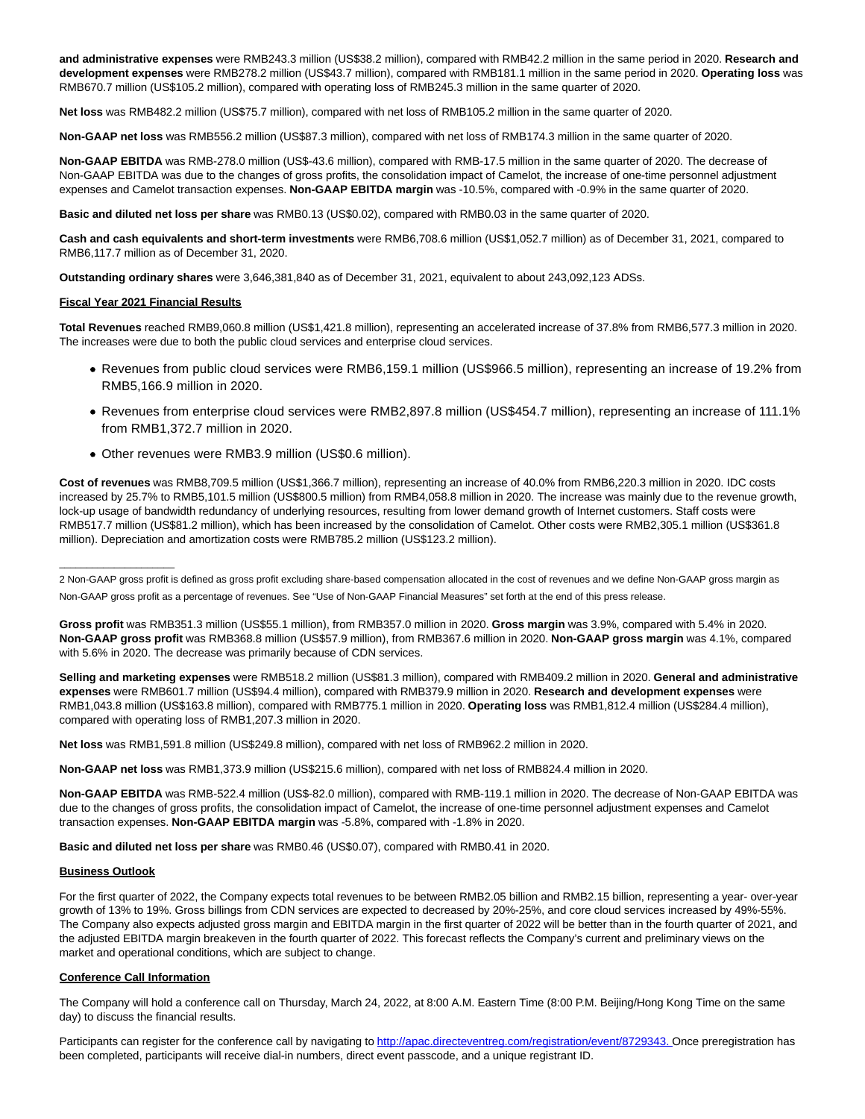**and administrative expenses** were RMB243.3 million (US\$38.2 million), compared with RMB42.2 million in the same period in 2020. **Research and development expenses** were RMB278.2 million (US\$43.7 million), compared with RMB181.1 million in the same period in 2020. **Operating loss** was RMB670.7 million (US\$105.2 million), compared with operating loss of RMB245.3 million in the same quarter of 2020.

**Net loss** was RMB482.2 million (US\$75.7 million), compared with net loss of RMB105.2 million in the same quarter of 2020.

**Non-GAAP net loss** was RMB556.2 million (US\$87.3 million), compared with net loss of RMB174.3 million in the same quarter of 2020.

**Non-GAAP EBITDA** was RMB-278.0 million (US\$-43.6 million), compared with RMB-17.5 million in the same quarter of 2020. The decrease of Non-GAAP EBITDA was due to the changes of gross profits, the consolidation impact of Camelot, the increase of one-time personnel adjustment expenses and Camelot transaction expenses. **Non-GAAP EBITDA margin** was -10.5%, compared with -0.9% in the same quarter of 2020.

**Basic and diluted net loss per share** was RMB0.13 (US\$0.02), compared with RMB0.03 in the same quarter of 2020.

**Cash and cash equivalents and short-term investments** were RMB6,708.6 million (US\$1,052.7 million) as of December 31, 2021, compared to RMB6,117.7 million as of December 31, 2020.

**Outstanding ordinary shares** were 3,646,381,840 as of December 31, 2021, equivalent to about 243,092,123 ADSs.

#### **Fiscal Year 2021 Financial Results**

**Total Revenues** reached RMB9,060.8 million (US\$1,421.8 million), representing an accelerated increase of 37.8% from RMB6,577.3 million in 2020. The increases were due to both the public cloud services and enterprise cloud services.

- Revenues from public cloud services were RMB6,159.1 million (US\$966.5 million), representing an increase of 19.2% from RMB5,166.9 million in 2020.
- Revenues from enterprise cloud services were RMB2,897.8 million (US\$454.7 million), representing an increase of 111.1% from RMB1,372.7 million in 2020.
- Other revenues were RMB3.9 million (US\$0.6 million).

**Cost of revenues** was RMB8,709.5 million (US\$1,366.7 million), representing an increase of 40.0% from RMB6,220.3 million in 2020. IDC costs increased by 25.7% to RMB5,101.5 million (US\$800.5 million) from RMB4,058.8 million in 2020. The increase was mainly due to the revenue growth, lock-up usage of bandwidth redundancy of underlying resources, resulting from lower demand growth of Internet customers. Staff costs were RMB517.7 million (US\$81.2 million), which has been increased by the consolidation of Camelot. Other costs were RMB2,305.1 million (US\$361.8 million). Depreciation and amortization costs were RMB785.2 million (US\$123.2 million).

**Gross profit** was RMB351.3 million (US\$55.1 million), from RMB357.0 million in 2020. **Gross margin** was 3.9%, compared with 5.4% in 2020. **Non-GAAP gross profit** was RMB368.8 million (US\$57.9 million), from RMB367.6 million in 2020. **Non-GAAP gross margin** was 4.1%, compared with 5.6% in 2020. The decrease was primarily because of CDN services.

**Selling and marketing expenses** were RMB518.2 million (US\$81.3 million), compared with RMB409.2 million in 2020. **General and administrative expenses** were RMB601.7 million (US\$94.4 million), compared with RMB379.9 million in 2020. **Research and development expenses** were RMB1,043.8 million (US\$163.8 million), compared with RMB775.1 million in 2020. **Operating loss** was RMB1,812.4 million (US\$284.4 million), compared with operating loss of RMB1,207.3 million in 2020.

**Net loss** was RMB1,591.8 million (US\$249.8 million), compared with net loss of RMB962.2 million in 2020.

**Non-GAAP net loss** was RMB1,373.9 million (US\$215.6 million), compared with net loss of RMB824.4 million in 2020.

**Non-GAAP EBITDA** was RMB-522.4 million (US\$-82.0 million), compared with RMB-119.1 million in 2020. The decrease of Non-GAAP EBITDA was due to the changes of gross profits, the consolidation impact of Camelot, the increase of one-time personnel adjustment expenses and Camelot transaction expenses. **Non-GAAP EBITDA margin** was -5.8%, compared with -1.8% in 2020.

**Basic and diluted net loss per share** was RMB0.46 (US\$0.07), compared with RMB0.41 in 2020.

#### **Business Outlook**

 $\_$ 

For the first quarter of 2022, the Company expects total revenues to be between RMB2.05 billion and RMB2.15 billion, representing a year- over-year growth of 13% to 19%. Gross billings from CDN services are expected to decreased by 20%-25%, and core cloud services increased by 49%-55%. The Company also expects adjusted gross margin and EBITDA margin in the first quarter of 2022 will be better than in the fourth quarter of 2021, and the adjusted EBITDA margin breakeven in the fourth quarter of 2022. This forecast reflects the Company's current and preliminary views on the market and operational conditions, which are subject to change.

#### **Conference Call Information**

The Company will hold a conference call on Thursday, March 24, 2022, at 8:00 A.M. Eastern Time (8:00 P.M. Beijing/Hong Kong Time on the same day) to discuss the financial results.

Participants can register for the conference call by navigating t[o http://apac.directeventreg.com/registration/event/8729343. O](https://www.globenewswire.com/Tracker?data=-7ZlGeUh96I8xWqacpMpfEsV2HT3TBx-5XPVj_aBnXCsqnUM2vTP58uxrJF55sM9kfnHA2qYFEyE36UMUV0qiiMclX03zcJsB8rmEZ_n0tVRO__WctEeF_9YQvpEhSmfhJDERwB1n6R7nzcB6LkUPj5bgXYebHbGAsJbPZLcn-4AGdtrxZ2yNke0mQrNWDIJ)nce preregistration has been completed, participants will receive dial-in numbers, direct event passcode, and a unique registrant ID.

<sup>2</sup> Non-GAAP gross profit is defined as gross profit excluding share-based compensation allocated in the cost of revenues and we define Non-GAAP gross margin as Non-GAAP gross profit as a percentage of revenues. See "Use of Non-GAAP Financial Measures" set forth at the end of this press release.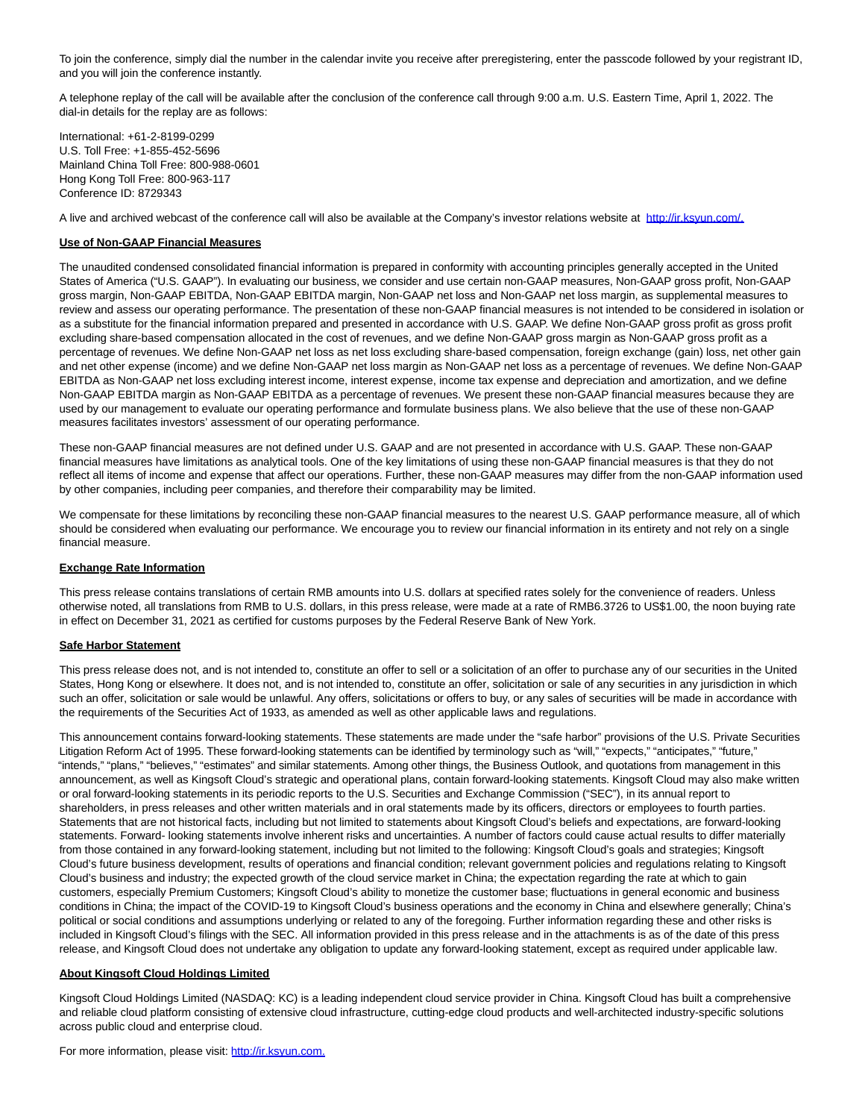To join the conference, simply dial the number in the calendar invite you receive after preregistering, enter the passcode followed by your registrant ID, and you will join the conference instantly.

A telephone replay of the call will be available after the conclusion of the conference call through 9:00 a.m. U.S. Eastern Time, April 1, 2022. The dial-in details for the replay are as follows:

International: +61-2-8199-0299 U.S. Toll Free: +1-855-452-5696 Mainland China Toll Free: 800-988-0601 Hong Kong Toll Free: 800-963-117 Conference ID: 8729343

A live and archived webcast of the conference call will also be available at the Company's investor relations website at [http://ir.ksyun.com/.](https://www.globenewswire.com/Tracker?data=-7ZlGeUh96I8xWqacpMpfENavcwW6AaBt9HEcUStsblvuoLoXOyOx6_swJWpThjBOTVhw6mGWZ9Ub6p2HVrdBg==)

#### **Use of Non-GAAP Financial Measures**

The unaudited condensed consolidated financial information is prepared in conformity with accounting principles generally accepted in the United States of America ("U.S. GAAP"). In evaluating our business, we consider and use certain non-GAAP measures, Non-GAAP gross profit, Non-GAAP gross margin, Non-GAAP EBITDA, Non-GAAP EBITDA margin, Non-GAAP net loss and Non-GAAP net loss margin, as supplemental measures to review and assess our operating performance. The presentation of these non-GAAP financial measures is not intended to be considered in isolation or as a substitute for the financial information prepared and presented in accordance with U.S. GAAP. We define Non-GAAP gross profit as gross profit excluding share-based compensation allocated in the cost of revenues, and we define Non-GAAP gross margin as Non-GAAP gross profit as a percentage of revenues. We define Non-GAAP net loss as net loss excluding share-based compensation, foreign exchange (gain) loss, net other gain and net other expense (income) and we define Non-GAAP net loss margin as Non-GAAP net loss as a percentage of revenues. We define Non-GAAP EBITDA as Non-GAAP net loss excluding interest income, interest expense, income tax expense and depreciation and amortization, and we define Non-GAAP EBITDA margin as Non-GAAP EBITDA as a percentage of revenues. We present these non-GAAP financial measures because they are used by our management to evaluate our operating performance and formulate business plans. We also believe that the use of these non-GAAP measures facilitates investors' assessment of our operating performance.

These non-GAAP financial measures are not defined under U.S. GAAP and are not presented in accordance with U.S. GAAP. These non-GAAP financial measures have limitations as analytical tools. One of the key limitations of using these non-GAAP financial measures is that they do not reflect all items of income and expense that affect our operations. Further, these non-GAAP measures may differ from the non-GAAP information used by other companies, including peer companies, and therefore their comparability may be limited.

We compensate for these limitations by reconciling these non-GAAP financial measures to the nearest U.S. GAAP performance measure, all of which should be considered when evaluating our performance. We encourage you to review our financial information in its entirety and not rely on a single financial measure.

### **Exchange Rate Information**

This press release contains translations of certain RMB amounts into U.S. dollars at specified rates solely for the convenience of readers. Unless otherwise noted, all translations from RMB to U.S. dollars, in this press release, were made at a rate of RMB6.3726 to US\$1.00, the noon buying rate in effect on December 31, 2021 as certified for customs purposes by the Federal Reserve Bank of New York.

#### **Safe Harbor Statement**

This press release does not, and is not intended to, constitute an offer to sell or a solicitation of an offer to purchase any of our securities in the United States, Hong Kong or elsewhere. It does not, and is not intended to, constitute an offer, solicitation or sale of any securities in any jurisdiction in which such an offer, solicitation or sale would be unlawful. Any offers, solicitations or offers to buy, or any sales of securities will be made in accordance with the requirements of the Securities Act of 1933, as amended as well as other applicable laws and regulations.

This announcement contains forward-looking statements. These statements are made under the "safe harbor" provisions of the U.S. Private Securities Litigation Reform Act of 1995. These forward-looking statements can be identified by terminology such as "will," "expects," "anticipates," "future," "intends," "plans," "believes," "estimates" and similar statements. Among other things, the Business Outlook, and quotations from management in this announcement, as well as Kingsoft Cloud's strategic and operational plans, contain forward-looking statements. Kingsoft Cloud may also make written or oral forward-looking statements in its periodic reports to the U.S. Securities and Exchange Commission ("SEC"), in its annual report to shareholders, in press releases and other written materials and in oral statements made by its officers, directors or employees to fourth parties. Statements that are not historical facts, including but not limited to statements about Kingsoft Cloud's beliefs and expectations, are forward-looking statements. Forward- looking statements involve inherent risks and uncertainties. A number of factors could cause actual results to differ materially from those contained in any forward-looking statement, including but not limited to the following: Kingsoft Cloud's goals and strategies; Kingsoft Cloud's future business development, results of operations and financial condition; relevant government policies and regulations relating to Kingsoft Cloud's business and industry; the expected growth of the cloud service market in China; the expectation regarding the rate at which to gain customers, especially Premium Customers; Kingsoft Cloud's ability to monetize the customer base; fluctuations in general economic and business conditions in China; the impact of the COVID-19 to Kingsoft Cloud's business operations and the economy in China and elsewhere generally; China's political or social conditions and assumptions underlying or related to any of the foregoing. Further information regarding these and other risks is included in Kingsoft Cloud's filings with the SEC. All information provided in this press release and in the attachments is as of the date of this press release, and Kingsoft Cloud does not undertake any obligation to update any forward-looking statement, except as required under applicable law.

#### **About Kingsoft Cloud Holdings Limited**

Kingsoft Cloud Holdings Limited (NASDAQ: KC) is a leading independent cloud service provider in China. Kingsoft Cloud has built a comprehensive and reliable cloud platform consisting of extensive cloud infrastructure, cutting-edge cloud products and well-architected industry-specific solutions across public cloud and enterprise cloud.

For more information, please visit: [http://ir.ksyun.com.](https://www.globenewswire.com/Tracker?data=-7ZlGeUh96I8xWqacpMpfLuZKEJ751Y1lG6vbu5gz1rzwq0LLGk-YqX7X9X3s1l0s5pMrmxkuCbUAjqhVJ1mmA==)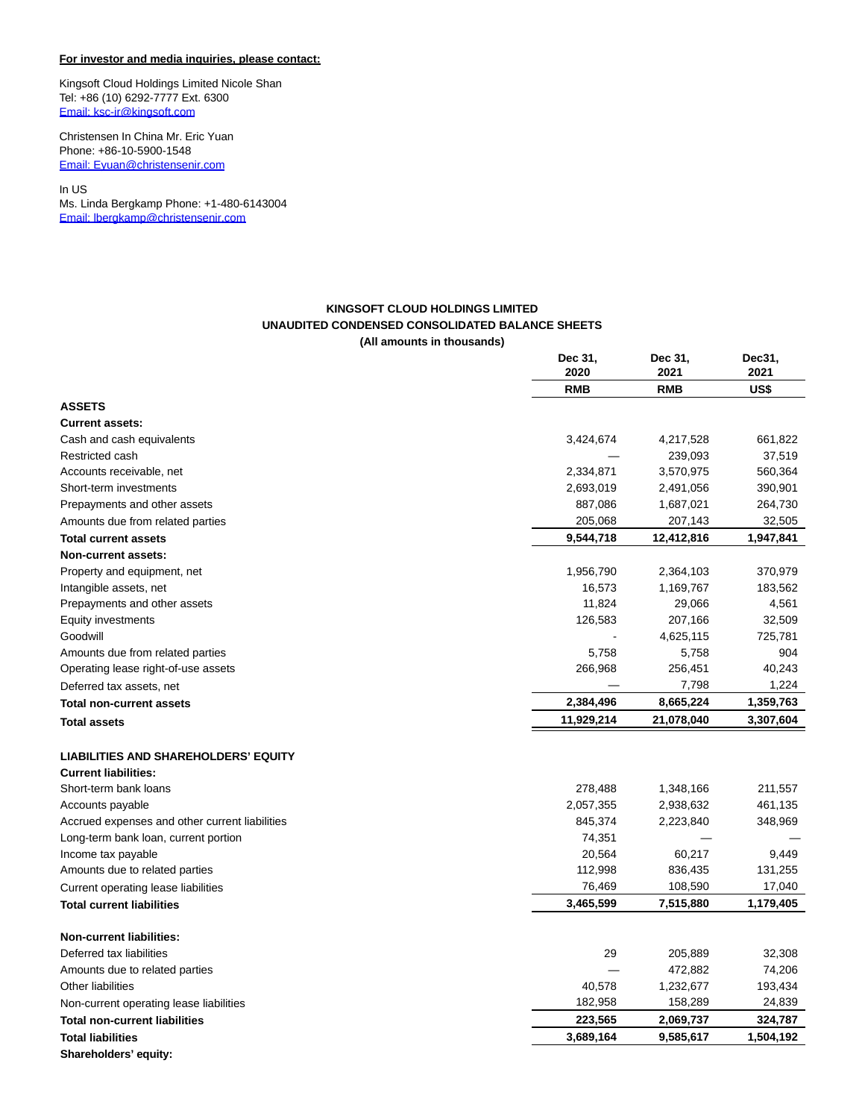### **For investor and media inquiries, please contact:**

Kingsoft Cloud Holdings Limited Nicole Shan Tel: +86 (10) 6292-7777 Ext. 6300 [Email: ksc-ir@kingsoft.com](https://www.globenewswire.com/Tracker?data=TpNz706qTTNBtTeWhi4alVPBPV-VA_Rk0d5ZyIxt5cDnciDvOvnCLfhzrjNkxcPYozpenHITAd1tbzwF5HtUNnX3PByKT8xmzOuwdEaCFmE=)

Christensen In China Mr. Eric Yuan Phone: +86-10-5900-1548 [Email: Eyuan@christensenir.com](https://www.globenewswire.com/Tracker?data=TpNz706qTTNBtTeWhi4aldPB8sQ9N6V4-WpEGN9A0t1Nz8Z8xFv2zMT9oZSD8_kDGjm5sgAs_ukHUQlt-RFbh_usaitVXPzxCXpa6Yi4Kb2nkHZrdHqWSXbIEQIqMLRv)

In US Ms. Linda Bergkamp Phone: +1-480-6143004 [Email: lbergkamp@christensenir.com](https://www.globenewswire.com/Tracker?data=TpNz706qTTNBtTeWhi4aldGQUkVw_W9Bty0jpN1R5vETG6Y8w8CdAV-wPVM-Jze8wtXsH8ec8OdKe2Trdwy5XFbgAiEZ8O8ldps4zuOQz2rXVrYG9LZ_Yt8BT2Ko9_k6)

### **KINGSOFT CLOUD HOLDINGS LIMITED UNAUDITED CONDENSED CONSOLIDATED BALANCE SHEETS (All amounts in thousands)**

|                                                | Dec 31,<br>2020 | Dec 31,<br>2021 | Dec31,<br>2021 |
|------------------------------------------------|-----------------|-----------------|----------------|
|                                                | <b>RMB</b>      | <b>RMB</b>      | US\$           |
| <b>ASSETS</b>                                  |                 |                 |                |
| <b>Current assets:</b>                         |                 |                 |                |
| Cash and cash equivalents                      | 3,424,674       | 4,217,528       | 661,822        |
| Restricted cash                                |                 | 239,093         | 37,519         |
| Accounts receivable, net                       | 2,334,871       | 3,570,975       | 560,364        |
| Short-term investments                         | 2,693,019       | 2,491,056       | 390,901        |
| Prepayments and other assets                   | 887,086         | 1,687,021       | 264,730        |
| Amounts due from related parties               | 205,068         | 207,143         | 32,505         |
| <b>Total current assets</b>                    | 9,544,718       | 12,412,816      | 1,947,841      |
| <b>Non-current assets:</b>                     |                 |                 |                |
| Property and equipment, net                    | 1,956,790       | 2,364,103       | 370,979        |
| Intangible assets, net                         | 16,573          | 1,169,767       | 183,562        |
| Prepayments and other assets                   | 11,824          | 29,066          | 4,561          |
| <b>Equity investments</b>                      | 126,583         | 207,166         | 32,509         |
| Goodwill                                       |                 | 4,625,115       | 725,781        |
| Amounts due from related parties               | 5,758           | 5,758           | 904            |
| Operating lease right-of-use assets            | 266,968         | 256,451         | 40,243         |
| Deferred tax assets, net                       |                 | 7,798           | 1,224          |
| <b>Total non-current assets</b>                | 2,384,496       | 8,665,224       | 1,359,763      |
| Total assets                                   | 11,929,214      | 21,078,040      | 3,307,604      |
| <b>LIABILITIES AND SHAREHOLDERS' EQUITY</b>    |                 |                 |                |
| <b>Current liabilities:</b>                    |                 |                 |                |
| Short-term bank loans                          | 278,488         | 1,348,166       | 211,557        |
| Accounts payable                               | 2,057,355       | 2,938,632       | 461,135        |
| Accrued expenses and other current liabilities | 845,374         | 2,223,840       | 348,969        |
| Long-term bank loan, current portion           | 74,351          |                 |                |
| Income tax payable                             | 20,564          | 60,217          | 9,449          |
| Amounts due to related parties                 | 112,998         | 836,435         | 131,255        |
| Current operating lease liabilities            | 76,469          | 108,590         | 17,040         |
| <b>Total current liabilities</b>               | 3,465,599       | 7,515,880       | 1,179,405      |
| <b>Non-current liabilities:</b>                |                 |                 |                |
| Deferred tax liabilities                       | 29              | 205,889         | 32,308         |
| Amounts due to related parties                 |                 | 472,882         | 74,206         |
| Other liabilities                              | 40,578          | 1,232,677       | 193,434        |
| Non-current operating lease liabilities        | 182,958         | 158,289         | 24,839         |
| <b>Total non-current liabilities</b>           | 223,565         | 2,069,737       | 324,787        |
| <b>Total liabilities</b>                       | 3,689,164       | 9,585,617       | 1,504,192      |
| Shareholders' equity:                          |                 |                 |                |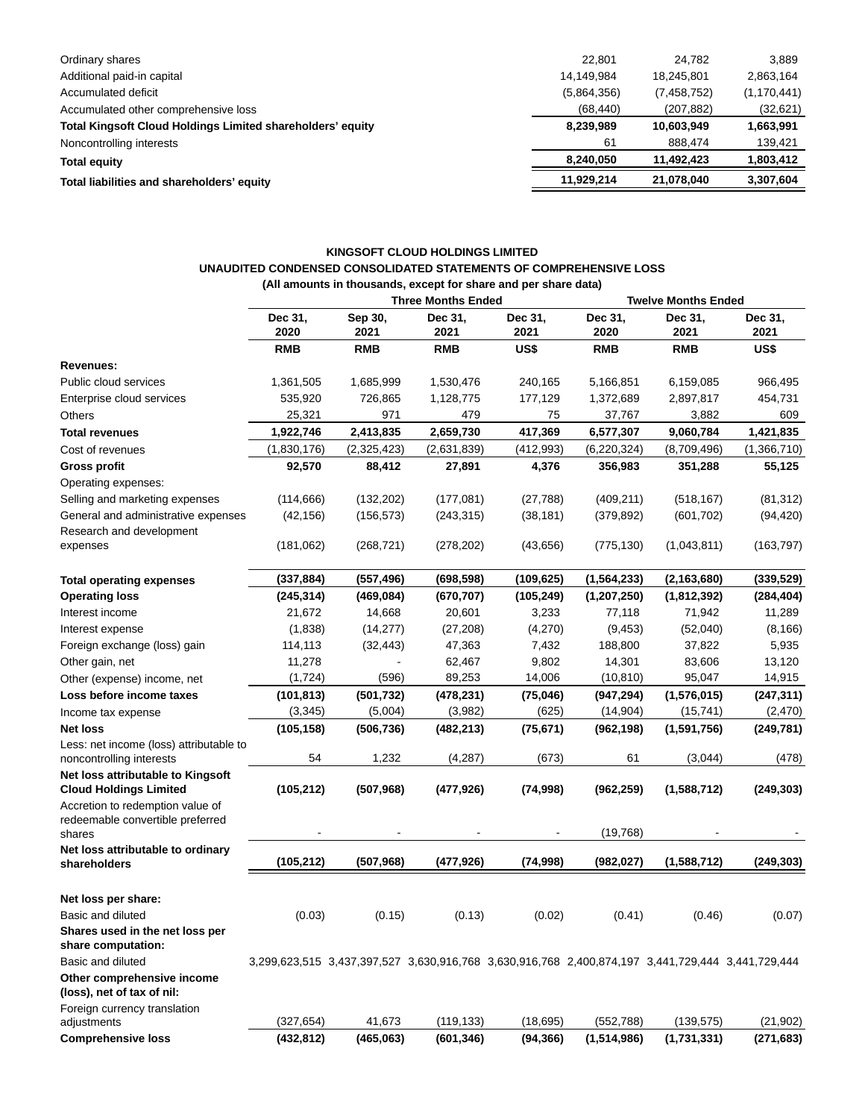| Ordinary shares                                                   | 22.801      | 24.782      | 3.889         |
|-------------------------------------------------------------------|-------------|-------------|---------------|
| Additional paid-in capital                                        | 14.149.984  | 18,245,801  | 2,863,164     |
| Accumulated deficit                                               | (5,864,356) | (7,458,752) | (1, 170, 441) |
| Accumulated other comprehensive loss                              | (68, 440)   | (207, 882)  | (32,621)      |
| <b>Total Kingsoft Cloud Holdings Limited shareholders' equity</b> | 8,239,989   | 10,603,949  | 1,663,991     |
| Noncontrolling interests                                          | 61          | 888.474     | 139,421       |
| <b>Total equity</b>                                               | 8.240.050   | 11.492.423  | 1,803,412     |
| Total liabilities and shareholders' equity                        | 11,929,214  | 21.078.040  | 3,307,604     |

# **KINGSOFT CLOUD HOLDINGS LIMITED UNAUDITED CONDENSED CONSOLIDATED STATEMENTS OF COMPREHENSIVE LOSS (All amounts in thousands, except for share and per share data)**

|                                                                    |                                                                                                   |                                                       | <b>Three Months Ended</b> |            |                 | <b>Twelve Months Ended</b> |                 |
|--------------------------------------------------------------------|---------------------------------------------------------------------------------------------------|-------------------------------------------------------|---------------------------|------------|-----------------|----------------------------|-----------------|
|                                                                    | Dec 31,<br>2020                                                                                   | Sep 30,<br>Dec 31,<br>Dec 31,<br>2021<br>2021<br>2021 |                           |            | Dec 31,<br>2020 | Dec 31,<br>2021            | Dec 31,<br>2021 |
|                                                                    | <b>RMB</b>                                                                                        | <b>RMB</b>                                            | <b>RMB</b>                | US\$       | <b>RMB</b>      | <b>RMB</b>                 | US\$            |
| <b>Revenues:</b>                                                   |                                                                                                   |                                                       |                           |            |                 |                            |                 |
| Public cloud services                                              | 1,361,505                                                                                         | 1,685,999                                             | 1,530,476                 | 240,165    | 5,166,851       | 6,159,085                  | 966,495         |
| Enterprise cloud services                                          | 535,920                                                                                           | 726,865                                               | 1,128,775                 | 177,129    | 1,372,689       | 2,897,817                  | 454,731         |
| <b>Others</b>                                                      | 25,321                                                                                            | 971                                                   | 479                       | 75         | 37,767          | 3,882                      | 609             |
| <b>Total revenues</b>                                              | 1,922,746                                                                                         | 2,413,835                                             | 2,659,730                 | 417,369    | 6,577,307       | 9,060,784                  | 1,421,835       |
| Cost of revenues                                                   | (1,830,176)                                                                                       | (2,325,423)                                           | (2,631,839)               | (412, 993) | (6, 220, 324)   | (8,709,496)                | (1,366,710)     |
| Gross profit                                                       | 92,570                                                                                            | 88,412                                                | 27,891                    | 4,376      | 356,983         | 351,288                    | 55,125          |
| Operating expenses:                                                |                                                                                                   |                                                       |                           |            |                 |                            |                 |
| Selling and marketing expenses                                     | (114, 666)                                                                                        | (132, 202)                                            | (177, 081)                | (27, 788)  | (409, 211)      | (518, 167)                 | (81, 312)       |
| General and administrative expenses                                | (42, 156)                                                                                         | (156, 573)                                            | (243, 315)                | (38, 181)  | (379, 892)      | (601, 702)                 | (94, 420)       |
| Research and development                                           |                                                                                                   |                                                       |                           |            |                 |                            |                 |
| expenses                                                           | (181,062)                                                                                         | (268, 721)                                            | (278, 202)                | (43, 656)  | (775, 130)      | (1,043,811)                | (163, 797)      |
| <b>Total operating expenses</b>                                    | (337, 884)                                                                                        | (557, 496)                                            | (698, 598)                | (109, 625) | (1, 564, 233)   | (2, 163, 680)              | (339, 529)      |
| <b>Operating loss</b>                                              | (245, 314)                                                                                        | (469, 084)                                            | (670, 707)                | (105, 249) | (1, 207, 250)   | (1,812,392)                | (284, 404)      |
| Interest income                                                    | 21,672                                                                                            | 14,668                                                | 20,601                    | 3,233      | 77,118          | 71,942                     | 11,289          |
| Interest expense                                                   | (1,838)                                                                                           | (14, 277)                                             | (27, 208)                 | (4,270)    | (9, 453)        | (52,040)                   | (8, 166)        |
| Foreign exchange (loss) gain                                       | 114,113                                                                                           | (32, 443)                                             | 47,363                    | 7,432      | 188,800         | 37,822                     | 5,935           |
| Other gain, net                                                    | 11,278                                                                                            |                                                       | 62,467                    | 9,802      | 14,301          | 83,606                     | 13,120          |
| Other (expense) income, net                                        | (1, 724)                                                                                          | (596)                                                 | 89,253                    | 14,006     | (10, 810)       | 95,047                     | 14,915          |
| Loss before income taxes                                           | (101, 813)                                                                                        | (501, 732)                                            | (478, 231)                | (75, 046)  | (947, 294)      | (1, 576, 015)              | (247, 311)      |
| Income tax expense                                                 | (3, 345)                                                                                          | (5,004)                                               | (3,982)                   | (625)      | (14, 904)       | (15, 741)                  | (2,470)         |
| <b>Net loss</b>                                                    | (105, 158)                                                                                        | (506,736)                                             | (482, 213)                | (75, 671)  | (962, 198)      | (1,591,756)                | (249, 781)      |
| Less: net income (loss) attributable to                            |                                                                                                   |                                                       |                           |            |                 |                            |                 |
| noncontrolling interests                                           | 54                                                                                                | 1,232                                                 | (4,287)                   | (673)      | 61              | (3,044)                    | (478)           |
| Net loss attributable to Kingsoft<br><b>Cloud Holdings Limited</b> | (105, 212)                                                                                        | (507, 968)                                            | (477, 926)                | (74, 998)  | (962, 259)      | (1,588,712)                | (249, 303)      |
| Accretion to redemption value of                                   |                                                                                                   |                                                       |                           |            |                 |                            |                 |
| redeemable convertible preferred<br>shares                         |                                                                                                   |                                                       |                           |            | (19,768)        |                            |                 |
| Net loss attributable to ordinary                                  |                                                                                                   |                                                       |                           |            |                 |                            |                 |
| shareholders                                                       | (105, 212)                                                                                        | (507, 968)                                            | (477, 926)                | (74, 998)  | (982, 027)      | (1,588,712)                | (249, 303)      |
| Net loss per share:                                                |                                                                                                   |                                                       |                           |            |                 |                            |                 |
| Basic and diluted                                                  | (0.03)                                                                                            | (0.15)                                                | (0.13)                    | (0.02)     | (0.41)          | (0.46)                     | (0.07)          |
| Shares used in the net loss per                                    |                                                                                                   |                                                       |                           |            |                 |                            |                 |
| share computation:                                                 |                                                                                                   |                                                       |                           |            |                 |                            |                 |
| Basic and diluted                                                  | 3,299,623,515 3,437,397,527 3,630,916,768 3,630,916,768 2,400,874,197 3,441,729,444 3,441,729,444 |                                                       |                           |            |                 |                            |                 |
| Other comprehensive income                                         |                                                                                                   |                                                       |                           |            |                 |                            |                 |
| (loss), net of tax of nil:                                         |                                                                                                   |                                                       |                           |            |                 |                            |                 |
| Foreign currency translation                                       |                                                                                                   |                                                       |                           |            |                 |                            |                 |
| adjustments                                                        | (327, 654)                                                                                        | 41,673                                                | (119, 133)                | (18, 695)  | (552, 788)      | (139, 575)                 | (21, 902)       |
| <b>Comprehensive loss</b>                                          | (432, 812)                                                                                        | (465,063)                                             | (601, 346)                | (94, 366)  | (1,514,986)     | (1,731,331)                | (271, 683)      |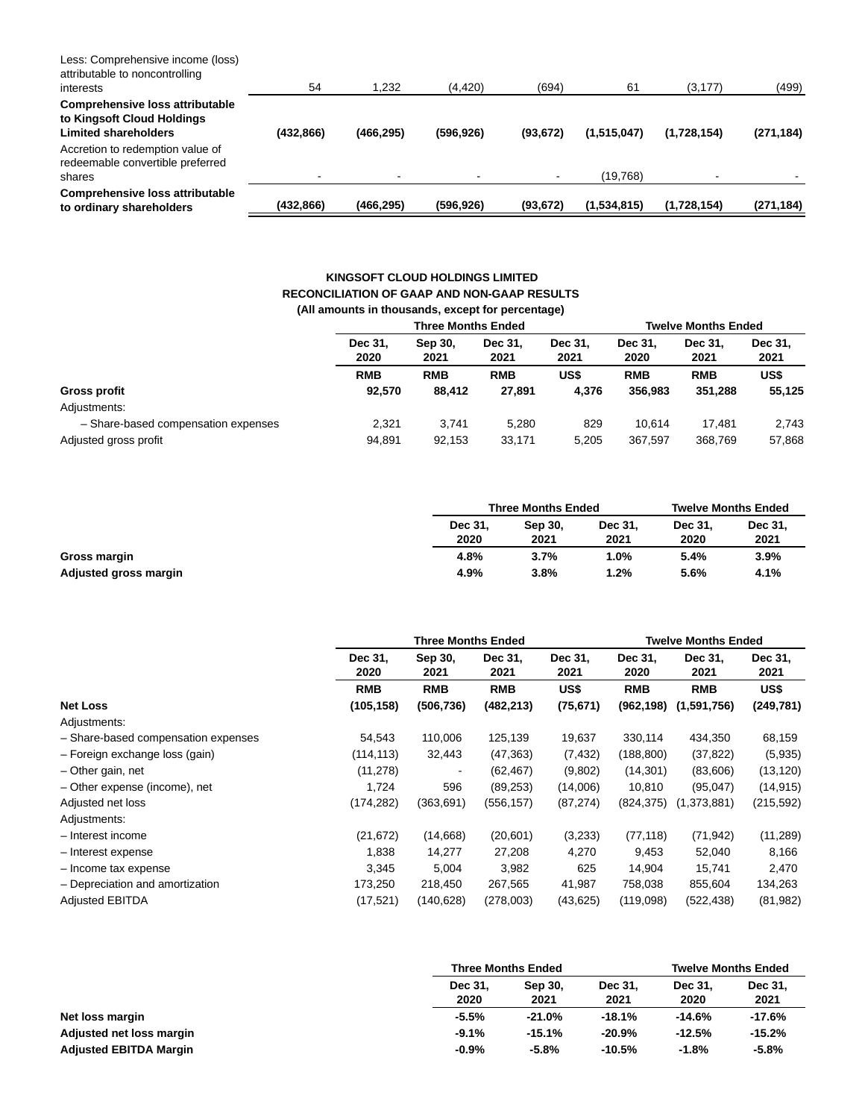| Less: Comprehensive income (loss)<br>attributable to noncontrolling<br>interests             | 54         | 1,232      | (4, 420)   | (694)     | 61          | (3, 177)    | (499)      |
|----------------------------------------------------------------------------------------------|------------|------------|------------|-----------|-------------|-------------|------------|
| Comprehensive loss attributable<br>to Kingsoft Cloud Holdings<br><b>Limited shareholders</b> | (432, 866) | (466, 295) | (596, 926) | (93, 672) | (1,515,047) | (1,728,154) | (271, 184) |
| Accretion to redemption value of<br>redeemable convertible preferred<br>shares               |            |            |            |           | (19,768)    |             |            |
| Comprehensive loss attributable<br>to ordinary shareholders                                  | (432, 866) | (466, 295) | (596, 926) | (93, 672) | (1,534,815) | (1,728,154) | (271, 184) |

## **KINGSOFT CLOUD HOLDINGS LIMITED RECONCILIATION OF GAAP AND NON-GAAP RESULTS (All amounts in thousands, except for percentage)**

|                                     |                 | <b>Three Months Ended</b>                             |            |       |                 | <b>Twelve Months Ended</b> |                 |  |  |
|-------------------------------------|-----------------|-------------------------------------------------------|------------|-------|-----------------|----------------------------|-----------------|--|--|
|                                     | Dec 31.<br>2020 | Dec 31.<br>Sep 30,<br>Dec 31.<br>2021<br>2021<br>2021 |            |       | Dec 31.<br>2020 | Dec 31.<br>2021            | Dec 31.<br>2021 |  |  |
|                                     | <b>RMB</b>      | <b>RMB</b>                                            | <b>RMB</b> | US\$  | <b>RMB</b>      | <b>RMB</b>                 | US\$            |  |  |
| <b>Gross profit</b>                 | 92.570          | 88.412                                                | 27.891     | 4.376 | 356.983         | 351.288                    | 55,125          |  |  |
| Adjustments:                        |                 |                                                       |            |       |                 |                            |                 |  |  |
| - Share-based compensation expenses | 2.321           | 3.741                                                 | 5.280      | 829   | 10.614          | 17.481                     | 2,743           |  |  |
| Adjusted gross profit               | 94,891          | 92,153                                                | 33,171     | 5.205 | 367.597         | 368,769                    | 57,868          |  |  |
|                                     |                 |                                                       |            |       |                 |                            |                 |  |  |

|                       |                 | <b>Three Months Ended</b> |                 | <b>Twelve Months Ended</b> |                 |  |
|-----------------------|-----------------|---------------------------|-----------------|----------------------------|-----------------|--|
|                       | Dec 31.<br>2020 | Sep 30.<br>2021           | Dec 31.<br>2021 | Dec 31.<br>2020            | Dec 31.<br>2021 |  |
| Gross margin          | 4.8%            | 3.7%                      | $1.0\%$         | 5.4%                       | 3.9%            |  |
| Adjusted gross margin | 4.9%            | 3.8%                      | 1.2%            | 5.6%                       | 4.1%            |  |

|                                     | <b>Three Months Ended</b> |                          |                 |                 | <b>Twelve Months Ended</b> |                 |                 |  |
|-------------------------------------|---------------------------|--------------------------|-----------------|-----------------|----------------------------|-----------------|-----------------|--|
|                                     | Dec 31,<br>2020           | Sep 30,<br>2021          | Dec 31,<br>2021 | Dec 31,<br>2021 | Dec 31,<br>2020            | Dec 31,<br>2021 | Dec 31,<br>2021 |  |
|                                     | <b>RMB</b>                | <b>RMB</b>               | <b>RMB</b>      | US\$            | <b>RMB</b>                 | <b>RMB</b>      | US\$            |  |
| <b>Net Loss</b>                     | (105,158)                 | (506, 736)               | (482, 213)      | (75, 671)       | (962,198)                  | (1,591,756)     | (249, 781)      |  |
| Adjustments:                        |                           |                          |                 |                 |                            |                 |                 |  |
| - Share-based compensation expenses | 54,543                    | 110,006                  | 125,139         | 19,637          | 330,114                    | 434,350         | 68,159          |  |
| - Foreign exchange loss (gain)      | (114,113)                 | 32,443                   | (47, 363)       | (7, 432)        | (188,800)                  | (37, 822)       | (5,935)         |  |
| - Other gain, net                   | (11, 278)                 | $\overline{\phantom{a}}$ | (62, 467)       | (9,802)         | (14, 301)                  | (83,606)        | (13, 120)       |  |
| - Other expense (income), net       | 1,724                     | 596                      | (89, 253)       | (14,006)        | 10,810                     | (95,047)        | (14, 915)       |  |
| Adjusted net loss                   | (174, 282)                | (363,691)                | (556, 157)      | (87, 274)       | (824,375)                  | (1,373,881)     | (215,592)       |  |
| Adjustments:                        |                           |                          |                 |                 |                            |                 |                 |  |
| - Interest income                   | (21, 672)                 | (14,668)                 | (20,601)        | (3,233)         | (77, 118)                  | (71, 942)       | (11, 289)       |  |
| - Interest expense                  | 1,838                     | 14,277                   | 27,208          | 4,270           | 9,453                      | 52,040          | 8,166           |  |
| - Income tax expense                | 3,345                     | 5,004                    | 3,982           | 625             | 14,904                     | 15,741          | 2,470           |  |
| - Depreciation and amortization     | 173,250                   | 218,450                  | 267,565         | 41,987          | 758,038                    | 855,604         | 134,263         |  |
| <b>Adjusted EBITDA</b>              | (17, 521)                 | (140, 628)               | (278,003)       | (43, 625)       | (119,098)                  | (522, 438)      | (81, 982)       |  |

|                               | <b>Three Months Ended</b> |                 | <b>Twelve Months Ended</b> |                 |                 |
|-------------------------------|---------------------------|-----------------|----------------------------|-----------------|-----------------|
|                               | Dec 31,<br>2020           | Sep 30,<br>2021 | Dec 31,<br>2021            | Dec 31.<br>2020 | Dec 31,<br>2021 |
| Net loss margin               | $-5.5%$                   | $-21.0%$        | $-18.1%$                   | -14.6%          | -17.6%          |
| Adjusted net loss margin      | $-9.1%$                   | $-15.1%$        | $-20.9%$                   | $-12.5%$        | $-15.2%$        |
| <b>Adjusted EBITDA Margin</b> | $-0.9%$                   | $-5.8%$         | $-10.5%$                   | $-1.8%$         | $-5.8%$         |